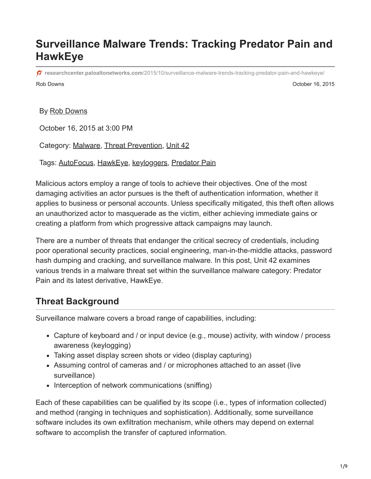# **Surveillance Malware Trends: Tracking Predator Pain and HawkEye**

Rob Downs October 16, 2015 **researchcenter.paloaltonetworks.com**[/2015/10/surveillance-malware-trends-tracking-predator-pain-and-hawkeye/](https://researchcenter.paloaltonetworks.com/2015/10/surveillance-malware-trends-tracking-predator-pain-and-hawkeye/)

By [Rob Downs](https://unit42.paloaltonetworks.com/author/rob-downs/)

October 16, 2015 at 3:00 PM

Category: [Malware,](https://unit42.paloaltonetworks.com/category/malware-2/) [Threat Prevention,](https://unit42.paloaltonetworks.com/category/threat-prevention-2/) [Unit 42](https://unit42.paloaltonetworks.com/category/unit42/)

Tags: [AutoFocus](https://unit42.paloaltonetworks.com/tag/autofocus/), [HawkEye,](https://unit42.paloaltonetworks.com/tag/hawkeye/) [keyloggers,](https://unit42.paloaltonetworks.com/tag/keyloggers/) [Predator Pain](https://unit42.paloaltonetworks.com/tag/predator-pain/)

Malicious actors employ a range of tools to achieve their objectives. One of the most damaging activities an actor pursues is the theft of authentication information, whether it applies to business or personal accounts. Unless specifically mitigated, this theft often allows an unauthorized actor to masquerade as the victim, either achieving immediate gains or creating a platform from which progressive attack campaigns may launch.

There are a number of threats that endanger the critical secrecy of credentials, including poor operational security practices, social engineering, man-in-the-middle attacks, password hash dumping and cracking, and surveillance malware. In this post, Unit 42 examines various trends in a malware threat set within the surveillance malware category: Predator Pain and its latest derivative, HawkEye.

## **Threat Background**

Surveillance malware covers a broad range of capabilities, including:

- Capture of keyboard and / or input device (e.g., mouse) activity, with window / process awareness (keylogging)
- Taking asset display screen shots or video (display capturing)
- Assuming control of cameras and / or microphones attached to an asset (live surveillance)
- Interception of network communications (sniffing)

Each of these capabilities can be qualified by its scope (i.e., types of information collected) and method (ranging in techniques and sophistication). Additionally, some surveillance software includes its own exfiltration mechanism, while others may depend on external software to accomplish the transfer of captured information.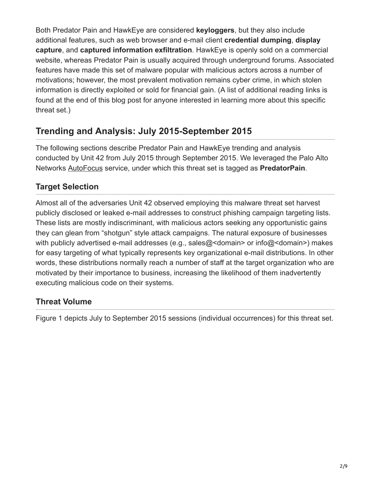Both Predator Pain and HawkEye are considered **keyloggers**, but they also include additional features, such as web browser and e-mail client **credential dumping**, **display capture**, and **captured information exfiltration**. HawkEye is openly sold on a commercial website, whereas Predator Pain is usually acquired through underground forums. Associated features have made this set of malware popular with malicious actors across a number of motivations; however, the most prevalent motivation remains cyber crime, in which stolen information is directly exploited or sold for financial gain. (A list of additional reading links is found at the end of this blog post for anyone interested in learning more about this specific threat set.)

## **Trending and Analysis: July 2015-September 2015**

The following sections describe Predator Pain and HawkEye trending and analysis conducted by Unit 42 from July 2015 through September 2015. We leveraged the Palo Alto Networks [AutoFocus](https://www.paloaltonetworks.com/products/platforms/subscriptions/autofocus.html) service, under which this threat set is tagged as **PredatorPain**.

## **Target Selection**

Almost all of the adversaries Unit 42 observed employing this malware threat set harvest publicly disclosed or leaked e-mail addresses to construct phishing campaign targeting lists. These lists are mostly indiscriminant, with malicious actors seeking any opportunistic gains they can glean from "shotgun" style attack campaigns. The natural exposure of businesses with publicly advertised e-mail addresses (e.g., sales@<domain> or info@<domain>) makes for easy targeting of what typically represents key organizational e-mail distributions. In other words, these distributions normally reach a number of staff at the target organization who are motivated by their importance to business, increasing the likelihood of them inadvertently executing malicious code on their systems.

### **Threat Volume**

Figure 1 depicts July to September 2015 sessions (individual occurrences) for this threat set.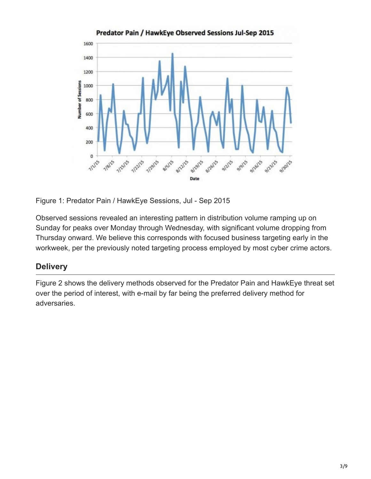

Figure 1: Predator Pain / HawkEye Sessions, Jul - Sep 2015

Observed sessions revealed an interesting pattern in distribution volume ramping up on Sunday for peaks over Monday through Wednesday, with significant volume dropping from Thursday onward. We believe this corresponds with focused business targeting early in the workweek, per the previously noted targeting process employed by most cyber crime actors.

### **Delivery**

Figure 2 shows the delivery methods observed for the Predator Pain and HawkEye threat set over the period of interest, with e-mail by far being the preferred delivery method for adversaries.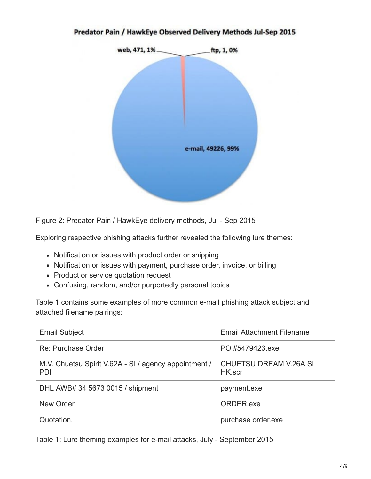#### Predator Pain / HawkEye Observed Delivery Methods Jul-Sep 2015



Figure 2: Predator Pain / HawkEye delivery methods, Jul - Sep 2015

Exploring respective phishing attacks further revealed the following lure themes:

- Notification or issues with product order or shipping
- Notification or issues with payment, purchase order, invoice, or billing
- Product or service quotation request
- Confusing, random, and/or purportedly personal topics

Table 1 contains some examples of more common e-mail phishing attack subject and attached filename pairings:

| <b>Email Subject</b>                                                | <b>Email Attachment Filename</b>        |
|---------------------------------------------------------------------|-----------------------------------------|
| Re: Purchase Order                                                  | PO #5479423.exe                         |
| M.V. Chuetsu Spirit V.62A - SI / agency appointment /<br><b>PDI</b> | <b>CHUETSU DREAM V.26A SI</b><br>HK.scr |
| DHL AWB# 34 5673 0015 / shipment                                    | payment.exe                             |
| New Order                                                           | ORDER exe                               |
| Quotation.                                                          | purchase order.exe                      |

Table 1: Lure theming examples for e-mail attacks, July - September 2015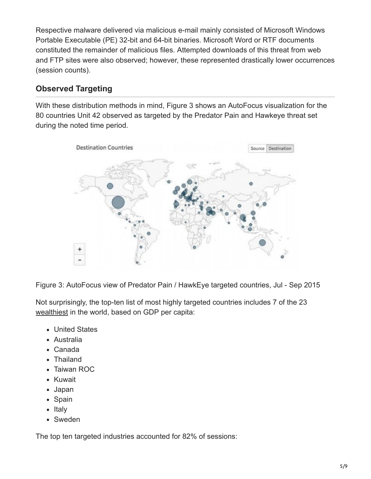Respective malware delivered via malicious e-mail mainly consisted of Microsoft Windows Portable Executable (PE) 32-bit and 64-bit binaries. Microsoft Word or RTF documents constituted the remainder of malicious files. Attempted downloads of this threat from web and FTP sites were also observed; however, these represented drastically lower occurrences (session counts).

#### **Observed Targeting**

With these distribution methods in mind, Figure 3 shows an AutoFocus visualization for the 80 countries Unit 42 observed as targeted by the Predator Pain and Hawkeye threat set during the noted time period.



Figure 3: AutoFocus view of Predator Pain / HawkEye targeted countries, Jul - Sep 2015

Not surprisingly, the top-ten list of most highly targeted countries includes 7 of the 23 [wealthiest](http://www.businessinsider.com/the-23-richest-countries-in-the-world-2015-7) in the world, based on GDP per capita:

- United States
- Australia
- Canada
- Thailand
- Taiwan ROC
- Kuwait
- Japan
- Spain
- Italy
- Sweden

The top ten targeted industries accounted for 82% of sessions: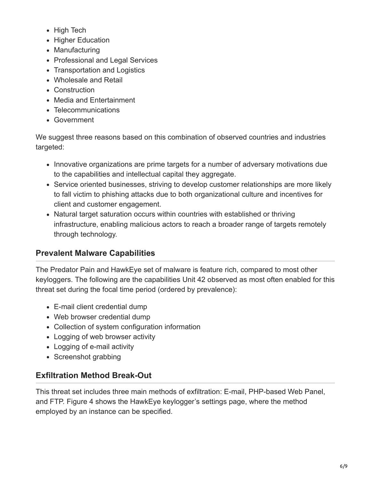- High Tech
- Higher Education
- Manufacturing
- Professional and Legal Services
- Transportation and Logistics
- Wholesale and Retail
- Construction
- Media and Entertainment
- Telecommunications
- Government

We suggest three reasons based on this combination of observed countries and industries targeted:

- Innovative organizations are prime targets for a number of adversary motivations due to the capabilities and intellectual capital they aggregate.
- Service oriented businesses, striving to develop customer relationships are more likely to fall victim to phishing attacks due to both organizational culture and incentives for client and customer engagement.
- Natural target saturation occurs within countries with established or thriving infrastructure, enabling malicious actors to reach a broader range of targets remotely through technology.

## **Prevalent Malware Capabilities**

The Predator Pain and HawkEye set of malware is feature rich, compared to most other keyloggers. The following are the capabilities Unit 42 observed as most often enabled for this threat set during the focal time period (ordered by prevalence):

- E-mail client credential dump
- Web browser credential dump
- Collection of system configuration information
- Logging of web browser activity
- Logging of e-mail activity
- Screenshot grabbing

## **Exfiltration Method Break-Out**

This threat set includes three main methods of exfiltration: E-mail, PHP-based Web Panel, and FTP. Figure 4 shows the HawkEye keylogger's settings page, where the method employed by an instance can be specified.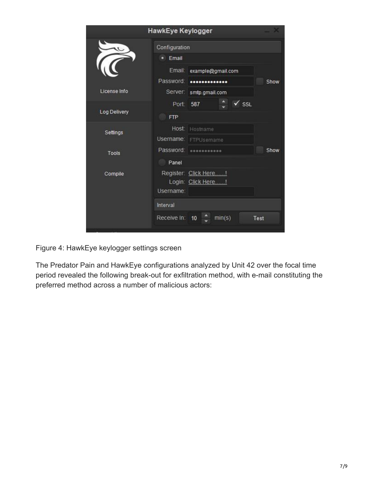|               | HawkEye Keylogger                                        |                       |  |
|---------------|----------------------------------------------------------|-----------------------|--|
| Configuration |                                                          |                       |  |
|               | Email<br>о                                               |                       |  |
|               | Email:<br>example@gmail.com                              |                       |  |
|               | Password:<br>                                            | Show                  |  |
| License Info  | <b>Server:</b><br>smtp.gmail.com                         |                       |  |
|               | 587<br>Port:                                             | $\sqrt{\mathsf{ssL}}$ |  |
| Log Delivery  | <b>FTP</b>                                               |                       |  |
| Settings      | Host:<br>Hostname                                        |                       |  |
|               | Username:<br>FTPUsername                                 |                       |  |
| <b>Tools</b>  | Password:<br>Show<br>                                    |                       |  |
|               | Panel                                                    |                       |  |
| Compile       | Register: Click Here!<br>Login: Click Here!<br>Username: |                       |  |
| Interval      |                                                          |                       |  |
|               | Receive In: 10<br>min(s)                                 | Test                  |  |
|               |                                                          |                       |  |

Figure 4: HawkEye keylogger settings screen

The Predator Pain and HawkEye configurations analyzed by Unit 42 over the focal time period revealed the following break-out for exfiltration method, with e-mail constituting the preferred method across a number of malicious actors: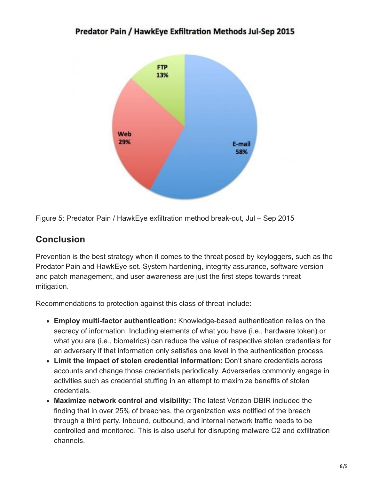#### Predator Pain / HawkEye Exfiltration Methods Jul-Sep 2015



Figure 5: Predator Pain / HawkEye exfiltration method break-out, Jul – Sep 2015

## **Conclusion**

Prevention is the best strategy when it comes to the threat posed by keyloggers, such as the Predator Pain and HawkEye set. System hardening, integrity assurance, software version and patch management, and user awareness are just the first steps towards threat mitigation.

Recommendations to protection against this class of threat include:

- **Employ multi-factor authentication:** Knowledge-based authentication relies on the secrecy of information. Including elements of what you have (i.e., hardware token) or what you are (i.e., biometrics) can reduce the value of respective stolen credentials for an adversary if that information only satisfies one level in the authentication process.
- **Limit the impact of stolen credential information:** Don't share credentials across accounts and change those credentials periodically. Adversaries commonly engage in activities such as [credential stuffing](https://www.owasp.org/index.php/Credential_stuffing) in an attempt to maximize benefits of stolen credentials.
- **Maximize network control and visibility:** The latest Verizon DBIR included the finding that in over 25% of breaches, the organization was notified of the breach through a third party. Inbound, outbound, and internal network traffic needs to be controlled and monitored. This is also useful for disrupting malware C2 and exfiltration channels.